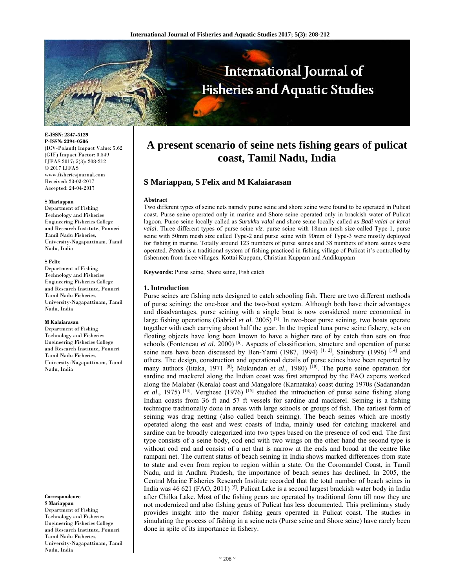

**E-ISSN: 2347-5129 P-ISSN: 2394-0506**  (ICV-Poland) Impact Value: 5.62 (GIF) Impact Factor: 0.549 IJFAS 2017; 5(3): 208-212  $\odot$  2017 IJFAS www.fisheriesjournal.com Received: 23-03-2017 Accepted: 24-04-2017

#### **S Mariappan**

Department of Fishing Technology and Fisheries Engineering Fisheries College and Research Institute, Ponneri Tamil Nadu Fisheries, University-Nagapattinam, Tamil Nadu, India

#### **S Felix**

Department of Fishing Technology and Fisheries Engineering Fisheries College and Research Institute, Ponneri Tamil Nadu Fisheries, University-Nagapattinam, Tamil Nadu, India

#### **M Kalaiarasan**

Department of Fishing Technology and Fisheries Engineering Fisheries College and Research Institute, Ponneri Tamil Nadu Fisheries, University-Nagapattinam, Tamil Nadu, India

**S Mariappan**  Department of Fishing Technology and Fisheries Engineering Fisheries College and Research Institute, Ponneri Tamil Nadu Fisheries,

**Correspondence** 

University-Nagapattinam, Tamil Nadu, India

# **A present scenario of seine nets fishing gears of pulicat coast, Tamil Nadu, India**

# **S Mariappan, S Felix and M Kalaiarasan**

## **Abstract**

Two different types of seine nets namely purse seine and shore seine were found to be operated in Pulicat coast. Purse seine operated only in marine and Shore seine operated only in brackish water of Pulicat lagoon. Purse seine locally called as *Surukku valai* and shore seine locally called as *Badi valai* or *karai valai*. Three different types of purse seine *viz.* purse seine with 18mm mesh size called Type-1, purse seine with 50mm mesh size called Type-2 and purse seine with 90mm of Type-3 were mostly deployed for fishing in marine. Totally around 123 numbers of purse seines and 38 numbers of shore seines were operated. *Paadu* is a traditional system of fishing practiced in fishing village of Pulicat it's controlled by fishermen from three villages: Kottai Kuppam, Christian Kuppam and Andikuppam

**Keywords:** Purse seine, Shore seine, Fish catch

#### **1. Introduction**

Purse seines are fishing nets designed to catch schooling fish. There are two different methods of purse seining: the one-boat and the two-boat system. Although both have their advantages and disadvantages, purse seining with a single boat is now considered more economical in large fishing operations (Gabriel *et al.* 2005) [7]. In two-boat purse seining, two boats operate together with each carrying about half the gear. In the tropical tuna purse seine fishery, sets on floating objects have long been known to have a higher rate of by catch than sets on free schools (Fonteneau *et al.* 2000) <sup>[6]</sup>. Aspects of classification, structure and operation of purse seine nets have been discussed by Ben-Yami (1987, 1994)  $^{[1, 2]}$ , Sainsbury (1996)  $^{[14]}$  and others. The design, construction and operational details of purse seines have been reported by many authors (Iitaka, 1971<sup>[8]</sup>; Mukundan *et al.*, 1980)<sup>[10]</sup>. The purse seine operation for sardine and mackerel along the Indian coast was first attempted by the FAO experts worked along the Malabar (Kerala) coast and Mangalore (Karnataka) coast during 1970s (Sadanandan *et al*., 1975) [13]. Verghese (1976) [15] studied the introduction of purse seine fishing along Indian coasts from 36 ft and 57 ft vessels for sardine and mackerel. Seining is a fishing technique traditionally done in areas with large schools or groups of fish. The earliest form of seining was drag netting (also called beach seining). The beach seines which are mostly operated along the east and west coasts of India, mainly used for catching mackerel and sardine can be broadly categorized into two types based on the presence of cod end. The first type consists of a seine body, cod end with two wings on the other hand the second type is without cod end and consist of a net that is narrow at the ends and broad at the centre like rampani net. The current status of beach seining in India shows marked differences from state to state and even from region to region within a state. On the Coromandel Coast, in Tamil Nadu, and in Andhra Pradesh, the importance of beach seines has declined. In 2005, the Central Marine Fisheries Research Institute recorded that the total number of beach seines in India was 46 621 (FAO, 2011)<sup>[5]</sup>. Pulicat Lake is a second largest brackish water body in India after Chilka Lake. Most of the fishing gears are operated by traditional form till now they are not modernized and also fishing gears of Pulicat has less documented. This preliminary study provides insight into the major fishing gears operated in Pulicat coast. The studies in simulating the process of fishing in a seine nets (Purse seine and Shore seine) have rarely been done in spite of its importance in fishery.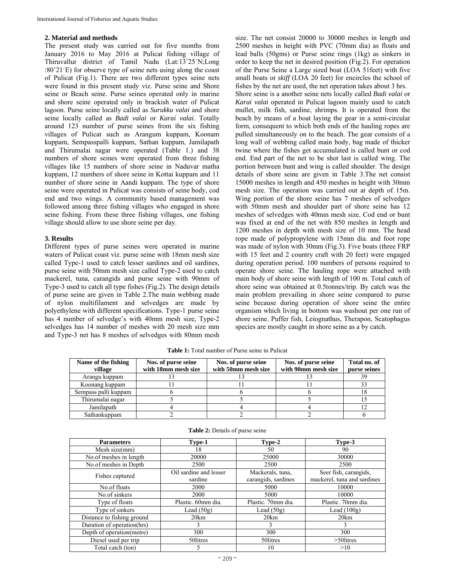## **2. Material and methods**

The present study was carried out for five months from January 2016 to May 2016 at Pulicat fishing village of Thiruvallur district of Tamil Nadu (Lat:13˚25ˈN;Long :80˚21ˈE) for observe type of seine nets using along the coast of Pulicat (Fig.1). There are two different types seine nets were found in this present study viz. Purse seine and Shore seine or Beach seine. Purse seines operated only in marine and shore seine operated only in brackish water of Pulicat lagoon. Purse seine locally called as *Surukku valai* and shore seine locally called as *Badi valai* or *Karai valai*. Totally around 123 number of purse seines from the six fishing villages of Pulicat such as Arangum kuppam, Koonam kuppam, Sempasspalli kuppam, Sathan kuppam, Jamilapath and Thirumalai nagar were operated (Table 1.) and 38 numbers of shore seines were operated from three fishing villages like 15 numbers of shore seine in Naduvar matha kuppam, 12 numbers of shore seine in Kottai kuppam and 11 number of shore seine in Aandi kuppam. The type of shore seine were operated in Pulicat was consists of seine body, cod end and two wings. A community based management was followed among three fishing villages who engaged in shore seine fishing. From these three fishing villages, one fishing village should allow to use shore seine per day.

# **3. Results**

Different types of purse seines were operated in marine waters of Pulicat coast viz. purse seine with 18mm mesh size called Type-1 used to catch lesser sardines and oil sardines, purse seine with 50mm mesh size called Type-2 used to catch mackerel, tuna, carangids and purse seine with 90mm of Type-3 used to catch all type fishes (Fig.2). The design details of purse seine are given in Table 2.The main webbing made of nylon multifilament and selvedges are made by polyethylene with different specifications. Type-1 purse seine has 4 number of selvedge's with 40mm mesh size, Type-2 selvedges has 14 number of meshes with 20 mesh size mm and Type-3 net has 8 meshes of selvedges with 80mm mesh size. The net consist 20000 to 30000 meshes in length and 2500 meshes in height with PVC (70mm dia) as floats and lead balls (50gms) or Purse seine rings (1kg) as sinkers in order to keep the net in desired position (Fig.2). For operation of the Purse Seine a Large sized boat (LOA 51feet) with five small boats or *skiff* (LOA 20 feet) for encircles the school of fishes by the net are used, the net operation takes about 3 hrs. Shore seine is a another seine nets locally called *Badi valai* or *Karai valai* operated in Pulicat lagoon mainly used to catch mullet, milk fish, sardine, shrimps. It is operated from the beach by means of a boat laying the gear in a semi-circular form, consequent to which both ends of the hauling ropes are pulled simultaneously on to the beach. The gear consists of a long wall of webbing called main body, bag made of thicker twine where the fishes get accumulated is called bunt or cod end. End part of the net to be shot last is called wing. The portion between bunt and wing is called shoulder. The design details of shore seine are given in Table 3.The net consist 15000 meshes in length and 450 meshes in height with 30mm mesh size. The operation was carried out at depth of 15m. Wing portion of the shore seine has 7 meshes of selvedges with 50mm mesh and shoulder part of shore seine has 12 meshes of selvedges with 40mm mesh size. Cod end or bunt was fixed at end of the net with 850 meshes in length and 1200 meshes in depth with mesh size of 10 mm. The head rope made of polypropylene with 15mm dia. and foot rope was made of nylon with 30mm (Fig.3). Five boats (three FRP with 15 feet and 2 country craft with 20 feet) were engaged during operation period. 100 numbers of persons required to operate shore seine. The hauling rope were attached with main body of shore seine with length of 100 m. Total catch of shore seine was obtained at 0.5tonnes/trip. By catch was the main problem prevailing in shore seine compared to purse seine because during operation of shore seine the entire organism which living in bottom was washout per one run of shore seine. Puffer fish, Leiognathus, Therapon, Scatophagus species are mostly caught in shore seine as a by catch.

| Name of the fishing  | Nos. of purse seine | Nos. of purse seine | Nos. of purse seine | Total no. of |
|----------------------|---------------------|---------------------|---------------------|--------------|
| village              | with 18mm mesh size | with 50mm mesh size | with 90mm mesh size | purse seines |
| Arangu kuppam        |                     |                     |                     | 39           |
| Koonang kuppam       |                     |                     |                     |              |
| Sempass palli kuppam |                     |                     |                     |              |
| Thirumalai nagar     |                     |                     |                     |              |
| Jamilapath           |                     |                     |                     |              |
| Sathankuppam         |                     |                     |                     |              |

**Table 1:** Total number of Purse seine in Pulicat

| <b>Parameters</b>          | Type-1                            | Type-2                                  | Type-3                                               |
|----------------------------|-----------------------------------|-----------------------------------------|------------------------------------------------------|
| Mesh size(mm)              | 18                                | 50                                      | 90                                                   |
| No.of meshes in length     | 20000                             | 25000                                   | 30000                                                |
| No.of meshes in Depth      | 2500                              | 2500                                    | 2500                                                 |
| Fishes captured            | Oil sardine and lesser<br>sardine | Mackerals, tuna,<br>carangids, sardines | Seer fish, carangids,<br>mackerel, tuna and sardines |
| No.of floats               | 2000                              | 5000                                    | 10000                                                |
| No.of sinkers              | 2000                              | 5000                                    | 10000                                                |
| Type of floats             | Plastic. 60mm dia.                | Plastic. 70mm dia.                      | Plastic. 70mm dia.                                   |
| Type of sinkers            | Lead $(50g)$                      | Lead $(50g)$                            | Lead $(100g)$                                        |
| Distance to fishing ground | 20km                              | 20km                                    | 20km                                                 |
| Duration of operation(hrs) | 3                                 | 3                                       | 3                                                    |
| Depth of operation(metre)  | 300                               | 300                                     | 300                                                  |
| Diesel used per trip       | 50 litres                         | 50 litres                               | $>50$ litres                                         |
| Total catch (ton)          | 5                                 | 10                                      | >10                                                  |

#### **Table 2:** Details of purse seine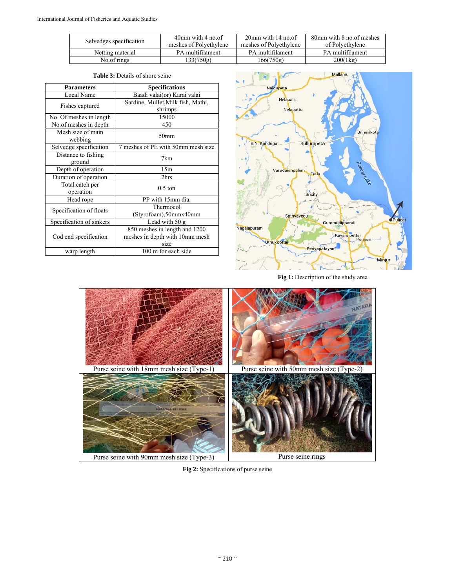|                         | $40$ mm with $4$ no.of | $20$ mm with 14 no.of  | 80mm with 8 no. of meshes |  |
|-------------------------|------------------------|------------------------|---------------------------|--|
| Selvedges specification | meshes of Polyethylene | meshes of Polyethylene | of Polvethylene           |  |
| Netting material        | PA multifilament       | PA multifilament       | PA multifilament          |  |
| No.of rings             | 133(750g)              | 166(750g)              | 200(1kg)                  |  |

| <b>Parameters</b>             | <b>Specifications</b>                                                   |  |
|-------------------------------|-------------------------------------------------------------------------|--|
| Local Name                    | Baadi valai(or) Karai valai                                             |  |
| Fishes captured               | Sardine, Mullet, Milk fish, Mathi,<br>shrimps                           |  |
| No. Of meshes in length       | 15000                                                                   |  |
| No.of meshes in depth         | 450                                                                     |  |
| Mesh size of main<br>webbing  | 50mm                                                                    |  |
| Selvedge specification        | 7 meshes of PE with 50mm mesh size                                      |  |
| Distance to fishing<br>ground | 7km                                                                     |  |
| Depth of operation            | 15m                                                                     |  |
| Duration of operation         | 2hrs                                                                    |  |
| Total catch per<br>operation  | $0.5$ ton                                                               |  |
| Head rope                     | PP with 15mm dia.                                                       |  |
| Specification of floats       | Thermocol<br>(Styrofoam),50mmx40mm                                      |  |
| Specification of sinkers      | Lead with 50 g                                                          |  |
| Cod end specification         | 850 meshes in length and 1200<br>meshes in depth with 10mm mesh<br>size |  |
| warp length                   | 100 m for each side                                                     |  |

|  | <b>Table 3:</b> Details of shore seine |  |  |
|--|----------------------------------------|--|--|
|  |                                        |  |  |
|  |                                        |  |  |



**Fig 1:** Description of the study area



**Fig 2:** Specifications of purse seine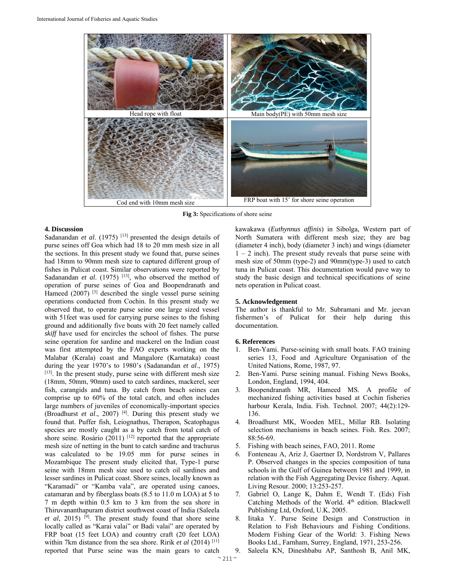

**Fig 3:** Specifications of shore seine

## **4. Discussion**

Sadanandan *et al.* (1975)<sup>[13]</sup> presented the design details of purse seines off Goa which had 18 to 20 mm mesh size in all the sections. In this present study we found that, purse seines had 18mm to 90mm mesh size to captured different group of fishes in Pulicat coast. Similar observations were reported by Sadanandan *et al.* (1975)<sup>[13]</sup>, who observed the method of operation of purse seines of Goa and Boopendranath and Hameed (2007) [3] described the single vessel purse seining operations conducted from Cochin. In this present study we observed that, to operate purse seine one large sized vessel with 51 feet was used for carrying purse seines to the fishing ground and additionally five boats with 20 feet namely called *skiff* have used for encircles the school of fishes. The purse seine operation for sardine and mackerel on the Indian coast was first attempted by the FAO experts working on the Malabar (Kerala) coast and Mangalore (Karnataka) coast during the year 1970's to 1980's (Sadanandan *et al*., 1975) [13]. In the present study, purse seine with different mesh size (18mm, 50mm, 90mm) used to catch sardines, mackerel, seer fish, carangids and tuna. By catch from beach seines can comprise up to 60% of the total catch, and often includes large numbers of juveniles of economically-important species (Broadhurst *et al*., 2007) [4]. During this present study we found that. Puffer fish, Leiognathus, Therapon, Scatophagus species are mostly caught as a by catch from total catch of shore seine. Rosário (2011)  $[12]$  reported that the appropriate mesh size of netting in the bunt to catch sardine and trachurus was calculated to be 19.05 mm for purse seines in Mozambique The present study elicited that, Type-1 purse seine with 18mm mesh size used to catch oil sardines and lesser sardines in Pulicat coast. Shore seines, locally known as "Karamadi" or "Kamba vala", are operated using canoes, catamaran and by fiberglass boats (8.5 to 11.0 m LOA) at 5 to 7 m depth within 0.5 km to 3 km from the sea shore in Thiruvananthapuram district southwest coast of India (Saleela *et al*, 2015) <sup>[9]</sup>. The present study found that shore seine locally called as "Karai valai" or Badi valai" are operated by FRP boat (15 feet LOA) and country craft (20 feet LOA) within 7km distance from the sea shore. Ririk *et al* (2014)<sup>[11]</sup> reported that Purse seine was the main gears to catch

kawakawa (*Euthynnus affinis*) in Sibolga, Western part of North Sumatera with different mesh size; they are bag (diameter 4 inch), body (diameter 3 inch) and wings (diameter  $1 - 2$  inch). The present study reveals that purse seine with mesh size of 50mm (type-2) and 90mm(type-3) used to catch tuna in Pulicat coast. This documentation would pave way to study the basic design and technical specifications of seine nets operation in Pulicat coast.

## **5. Acknowledgement**

The author is thankful to Mr. Subramani and Mr. jeevan fishermen's of Pulicat for their help during this documentation.

## **6. References**

- 1. Ben-Yami. Purse-seining with small boats. FAO training series 13, Food and Agriculture Organisation of the United Nations, Rome, 1987, 97.
- 2. Ben-Yami. Purse seining manual. Fishing News Books, London, England, 1994, 404.
- 3. Boopendranath MR, Hameed MS. A profile of mechanized fishing activities based at Cochin fisheries harbour Kerala, India. Fish. Technol. 2007; 44(2):129- 136.
- 4. Broadhurst MK, Wooden MEL, Millar RB. Isolating selection mechanisms in beach seines. Fish. Res. 2007; 88:56-69.
- 5. Fishing with beach seines, FAO, 2011. Rome
- 6. Fonteneau A, Ariz J, Gaertner D, Nordstrom V, Pallares P. Observed changes in the species composition of tuna schools in the Gulf of Guinea between 1981 and 1999, in relation with the Fish Aggregating Device fishery. Aquat. Living Resour. 2000; 13:253-257.
- 7. Gabriel O, Lange K, Dahm E, Wendt T. (Eds) Fish Catching Methods of the World. 4<sup>th</sup> edition. Blackwell Publishing Ltd, Oxford, U.K, 2005.
- 8. Iitaka Y. Purse Seine Design and Construction in Relation to Fish Behaviours and Fishing Conditions. Modern Fishing Gear of the World: 3. Fishing News Books Ltd., Farnham, Surrey, England, 1971, 253-256.
	- 9. Saleela KN, Dineshbabu AP, Santhosh B, Anil MK,